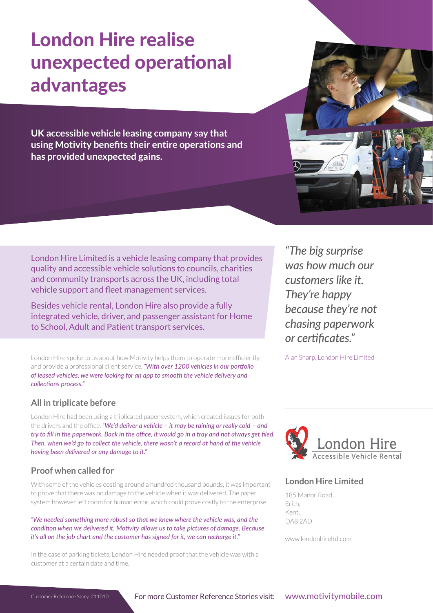# London Hire realise unexpected operational advantages

**UK accessible vehicle leasing company say that using Motivity benefits their entire operations and has provided unexpected gains.**

London Hire Limited is a vehicle leasing company that provides quality and accessible vehicle solutions to councils, charities and community transports across the UK, including total vehicle support and fleet management services.

Besides vehicle rental, London Hire also provide a fully integrated vehicle, driver, and passenger assistant for Home to School, Adult and Patient transport services.

London Hire spoke to us about how Motivity helps them to operate more efficiently and provide a professional client service. *"With over 1200 vehicles in our portfolio of leased vehicles, we were looking for an app to smooth the vehicle delivery and collections process."*

# **All in triplicate before**

London Hire had been using a triplicated paper system, which created issues for both the drivers and the office. *"We'd deliver a vehicle – it may be raining or really cold – and try to fill in the paperwork. Back in the office, it would go in a tray and not always get filed. Then, when we'd go to collect the vehicle, there wasn't a record at hand of the vehicle having been delivered or any damage to it."*

# **Proof when called for**

With some of the vehicles costing around a hundred thousand pounds, it was important to prove that there was no damage to the vehicle when it was delivered. The paper system however left room for human error, which could prove costly to the enterprise.

*"We needed something more robust so that we knew where the vehicle was, and the condition when we delivered it. Motivity allows us to take pictures of damage. Because it's all on the job chart and the customer has signed for it, we can recharge it."*

In the case of parking tickets, London Hire needed proof that the vehicle was with a customer at a certain date and time.

*"The big surprise was how much our customers like it. They're happy because they're not chasing paperwork or certificates."* 

Alan Sharp, London Hire Limited



# **London Hire Limited**

185 Manor Road, Erith, Kent, DA8 2AD

www.londonhireltd.com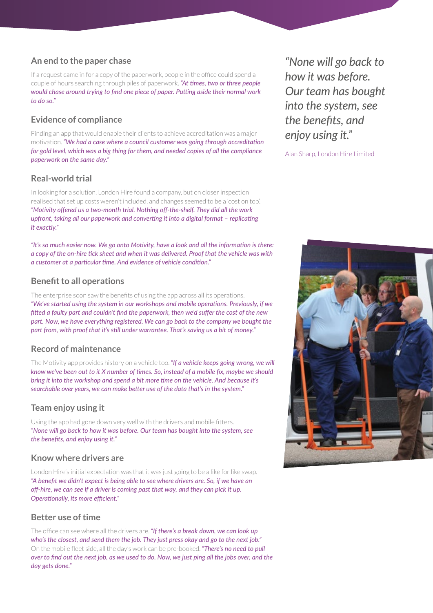### **An end to the paper chase**

If a request came in for a copy of the paperwork, people in the office could spend a couple of hours searching through piles of paperwork. *"At times, two or three people would chase around trying to find one piece of paper. Putting aside their normal work to do so."*

## **Evidence of compliance**

Finding an app that would enable their clients to achieve accreditation was a major motivation. *"We had a case where a council customer was going through accreditation for gold level, which was a big thing for them, and needed copies of all the compliance paperwork on the same day."* 

## **Real-world trial**

In looking for a solution, London Hire found a company, but on closer inspection realised that set up costs weren't included, and changes seemed to be a 'cost on top'. *"Motivity offered us a two-month trial. Nothing off-the-shelf. They did all the work upfront, taking all our paperwork and converting it into a digital format – replicating it exactly."*

*"It's so much easier now. We go onto Motivity, have a look and all the information is there: a copy of the on-hire tick sheet and when it was delivered. Proof that the vehicle was with a customer at a particular time. And evidence of vehicle condition."*

#### **Benefit to all operations**

The enterprise soon saw the benefits of using the app across all its operations. *"We've started using the system in our workshops and mobile operations. Previously, if we fitted a faulty part and couldn't find the paperwork, then we'd suffer the cost of the new part. Now, we have everything registered. We can go back to the company we bought the part from, with proof that it's still under warrantee. That's saving us a bit of money."* 

#### **Record of maintenance**

The Motivity app provides history on a vehicle too. *"If a vehicle keeps going wrong, we will know we've been out to it X number of times. So, instead of a mobile fix, maybe we should bring it into the workshop and spend a bit more time on the vehicle. And because it's searchable over years, we can make better use of the data that's in the system."*

#### **Team enjoy using it**

Using the app had gone down very well with the drivers and mobile fitters. *"None will go back to how it was before. Our team has bought into the system, see the benefits, and enjoy using it."*

#### **Know where drivers are**

London Hire's initial expectation was that it was just going to be a like for like swap. *"A benefit we didn't expect is being able to see where drivers are. So, if we have an off-hire, we can see if a driver is coming past that way, and they can pick it up. Operationally, its more efficient."*

#### **Better use of time**

The office can see where all the drivers are. *"If there's a break down, we can look up who's the closest, and send them the job. They just press okay and go to the next job."* On the mobile fleet side, all the day's work can be pre-booked. *"There's no need to pull over to find out the next job, as we used to do. Now, we just ping all the jobs over, and the day gets done."*

*"None will go back to how it was before. Our team has bought into the system, see the benefits, and enjoy using it."*

Alan Sharp, London Hire Limited